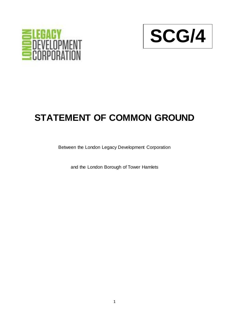



## **STATEMENT OF COMMON GROUND**

Between the London Legacy Development Corporation

and the London Borough of Tower Hamlets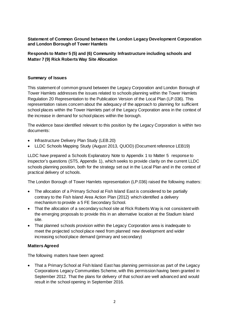**Statement of Common Ground between the London Legacy Development Corporation and London Borough of Tower Hamlets**

**Responds to Matter 5 (5) and (6) Community Infrastructure including schools and Matter 7 (9) Rick Roberts Way Site Allocation**

## **Summary of Issues**

This statement of common ground between the Legacy Corporation and London Borough of Tower Hamlets addresses the issues related to schools planning within the Tower Hamlets Regulation 20 Representation to the Publication Version of the Local Plan (LP.036). This representation raises concern about the adequacy of the approach to planning for sufficient school places within the Tower Hamlets part of the Legacy Corporation area in the context of the increase in demand for school places within the borough.

The evidence base identified relevant to this position by the Legacy Corporation is within two documents:

- Infrastructure Delivery Plan Study (LEB.20)
- LLDC Schools Mapping Study (August 2013, QUOD) (Document reference LEB19)

LLDC have prepared a Schools Explanatory Note to Appendix 1 to Matter 5 response to inspector's questions (ST5, Appendix 1), which seeks to provide clarity on the current LLDC schools planning position, both for the strategy set out in the Local Plan and in the context of practical delivery of schools.

The London Borough of Tower Hamlets representation (LP.036) raised the following matters:

- The allocation of a Primary School at Fish Island East is considered to be partially contrary to the Fish Island Area Action Plan (2012) which identified a delivery mechanism to provide a 5 FE Secondary School.
- That the allocation of a secondary school site at Rick Roberts Way is not consistent with the emerging proposals to provide this in an alternative location at the Stadium Island site.
- That planned schools provision within the Legacy Corporation area is inadequate to meet the projected school place need from planned new development and wider increasing school place demand (primary and secondary)

## **Matters Agreed**

The following matters have been agreed:

• That a Primary School at Fish Island East has planning permission as part of the Legacy Corporations Legacy Communities Scheme, with this permission having been granted in September 2012. That the plans for delivery of that school are well advanced and would result in the school opening in September 2016.